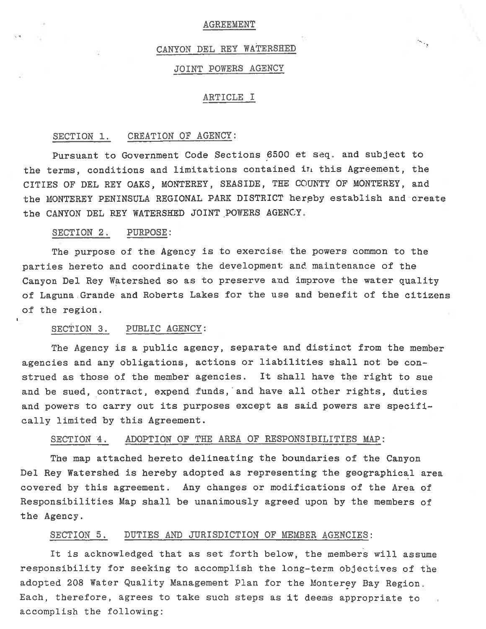#### AGREEMENT

#### CANYON DEL REY WATERSHED

#### JOINT POWERS AGENCY

#### ARTICLE I

#### SECTION 1. CREATION OF AGENCY:

Pursuant to Government Code Sections 6500 et seq. and subject to the terms, conditions and limitations contained in this Agreement, the CITIES OF DEL REY OAKS, MONTEREY, SEASIDE, THE COUNTY OF MONTEREY, and the MONTEREY PENINSULA REGIONAL PARK DISTRICT hereby establish and create the CANYON DEL REY WATERSHED JOINT POWERS AGENCY

#### SECTION 2. PURPOSE:

The purpose of the Agency is to exercise the powers common to the parties hereto and coordinate the development and maintenance of the Canyon Del Rey Watershed so as to preserve and improve the water quality of Laguna Grande and Roberts Lakes for the use and benefit of the citizens of the region.

#### SECTION 3. PUBLIC AGENCY:

The Agency is a public agency, separate and distinct from the member agencies and any obligations, actions or liabilities shall not be construed as those of the member agencies. It shall have the right to sue and be sued, contract, expend funds, 'and have all other rights, duties and powers to carry out its purposes except as said powers are specifically limited by this Agreement.

#### SECTION 4. ADOPTION OF THE AREA OF RESPONSIBILITIES MAP:

The map attached hereto delineating the boundaries of the Canyon Del Rey Watershed is hereby adopted as representing the geographical area. covered by this agreement. Any changes or modifications of the Area of Responsibilities Map shall be unanimously agreed upon by the members of the Agency.

#### SECTION 5. DUTIES AND JURISDICTION OF MEMBER AGENCIES:

It is acknowledged that as set forth below, the members will assume responsibility for seeking to accomplish the long-term objectives of the adopted 208 Water Quality Management Plan for the Monterey Bay Region Each, therefore, agrees to take such steps as it deems appropriate to accomplish the following: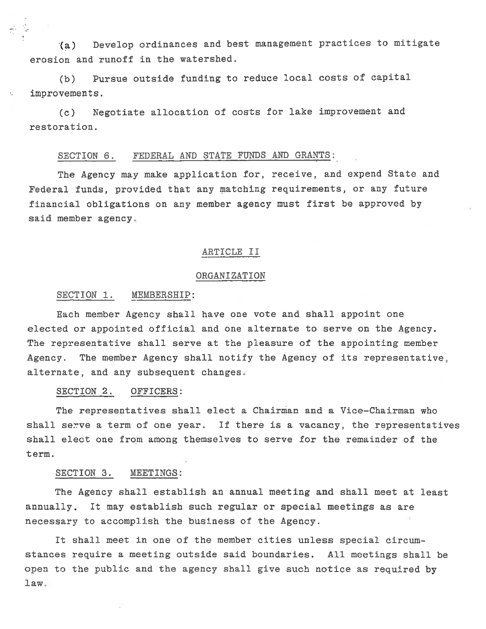(a) Develop ordinances and best management practices to mitigate erosion and runoff in the watershed.

(b) Pursue outside funding to reduce local costs of capital improvements.

(c) Negotiate allocation of costs for lake improvement and restoration.

#### SECTION 6. FEDERAL AND STATE FUNDS AND GRANTS:

The Agency may make application for, receive, and expend State and Federal funds, provided that any matching requirements, or any future financial obligations on any member agency must first be approved by said member agency

#### ARTICLE II

#### ORGANIZATION

#### SECTION 1. MEMBERSHIP:

t.

Each member Agency shall have one vote and shall appoint one elected or appointed official and one alternate to serve on the Agency. The representative shall serve at the pleasure of the appointing member Agency. The member Agency shall notify the Agency of its representative alternate, and any subsequent changes

#### SECTION 2. OFFICERS:

The representatives shall elect a Chairman and a Vice-Chairman who shall serve a term of one year. If there is a vacancy, the representatives shall elect one from among themselves to serve for the remainder of the term.

#### SECTION 3. MEETINGS:

The Agency shall establish an annual meeting and shall meet at least annually. It may establish such regular or special meetings as are necessary to accomplish the business of the Agency.

It shall meet in one of the member cities unless special circumstances require a meeting outside said boundaries. All meetings shall be open to the public and the agency shall give such notice as required by law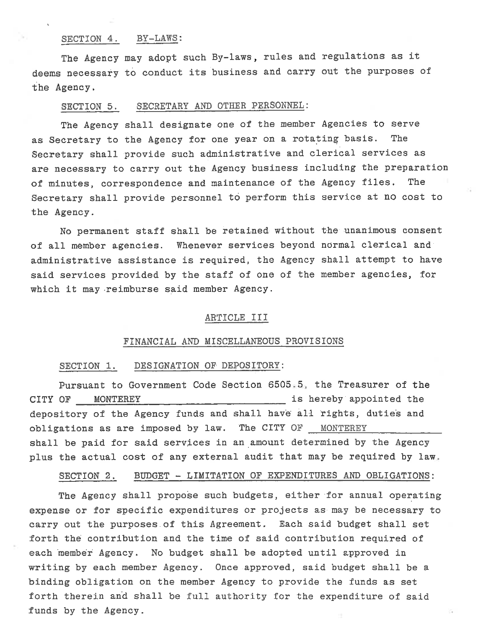#### SECTION 4. BY-LAWS:

The Agency may adopt such By-laws, rules and regulations as it deems necessary to conduct its business and carry out the purposes of the Agency.

#### SECTION 5. SECRETARY AND OTHER PERSONNEL:

The Agency shall designate one of the member Agencies to serve as Secretary to the Agency for one year on a rotating basis. The Secretary shall provide such administrative and clerical services as are necessary to carry out the Agency business including the preparation of minutes, correspondence and maintenance of the Agency files. The Secretary shall provide personnel to perform this service at no cost to the Agency.

No permanent staff shall be retained without the unanimous consent of all member agencies. Whenever services beyond normal clerical and administrative assistance is required, the Agency shall attempt to have said services provided by the staff of one of the member agencies, for which it may-reimburse said member Agency.

#### ARTICLE III

#### FINANCIAL AND MISCELLANEOUS PROVISIONS

#### SECTION 1. DESIGNATION OF DEPOSITORY:

Pursuant to Government Code Section 6505 5, the Treasurer of the CITY OF MONTEREY **EXECUTE:** MONTEREY **CITY OF** MONTEREY depository of the Agency funds and shall have all rights, duties and obligations as are imposed by law. The CITY OF MONTEREY shall be paid for said services in an amount determined by the Agency plus the actual cost of any external audit that may be required by law

#### SECTION 2. BUDGET - LIMITATION OF EXPENDITURES AND OBLIGATIONS:

The Agency shall propose such budgets, either for annual operating expense or for specific expenditures or projects as may be necessary to carry out the purposes of this Agreement. Each said budget shall set forth the contribution and the time of said contribution required of each member Agency. No budget shall be adopted until approved in writing by each member Agency. Once approved, said budget shall be a binding obligation on the member Agency to provide the funds as set forth therein and shall be full authority for the expenditure of said funds by the Agency.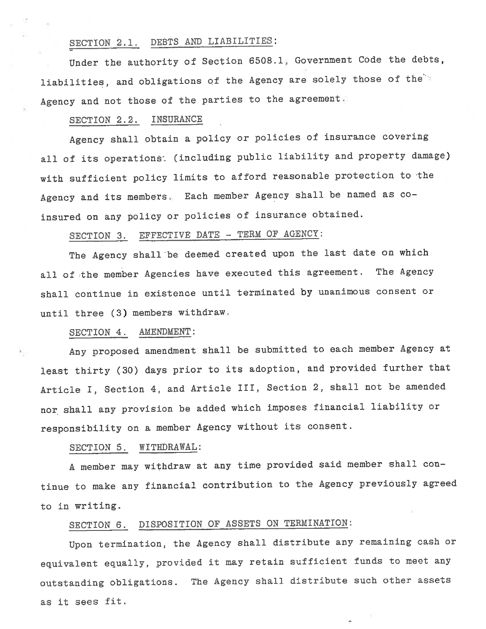## SECTION 2.1. DEBTS AND LIABILITIES:

Under the authority of Section 6508.1 Government Code the debts, liabilities, and obligations of the Agency are solely those of the Agency and not those of the parties to the agreement

#### SECTION 2.2. INSURANCE

Agency shall obtain a policy or policies of insurance covering all of its operations: (including public liability and property damage) with sufficient policy limits to afford reasonable protection to the Agency and its members. Each member Agency shall be named as coinsured on any policy or policies of insurance obtained.

# SECTION 3. EFFECTIVE DATE - TERM OF AGENCY:

The Agency shall be deemed created upon the last date on which all of the member Agencies have executed this agreement. The Agency shall continue in existence until terminated by unanimous consent or until three (3) members withdraw

#### SECTION 4. AMENDMENT:

Any proposed amendment shall be submitted to each member Agency at least thirty (30) days prior to its adoption, and provided further that Article I, Section 4, and Article III, Section 2, shall not be amended nor shall any provision be added which imposes financial liability or responsibility on a member Agency without its consent.

#### SECTION 5. WITHDRAWAL:

A member may withdraw at any time provided said member shall continue to make any financial contribution to the Agency previously agreed to in writing.

### SECTION 6. DISPOSITION OF ASSETS ON TERMINATION:

Upon termination, the Agency shall distribute any remaining cash or equivalent equally, provided it may retain sufficient funds to meet any outstanding obligations. The Agency shall distribute such other assets as it sees fit.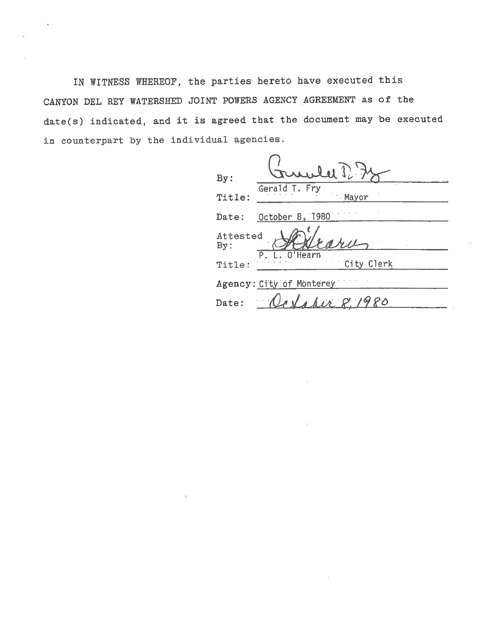IN WITNESS WHEREOF, the parties hereto have executed this CANYON DEL REY WATERSHED JOINT POWERS AGENCY AGREEMENT as of the date(s) indicated, and it is agreed that the document may be executed in counterpart by the individual agencies.

 $\chi$  .

| By:                      | rlet P<br>Gerald T. Fry  |  |  |  |
|--------------------------|--------------------------|--|--|--|
| Title:                   | Mayor                    |  |  |  |
| Date:                    | October 8, 1980          |  |  |  |
| Attested<br>By:          |                          |  |  |  |
| Title.                   | $0$ 'Hearn<br>City Clerk |  |  |  |
| Agency: City of Monterey |                          |  |  |  |
| Date:                    | 112221980                |  |  |  |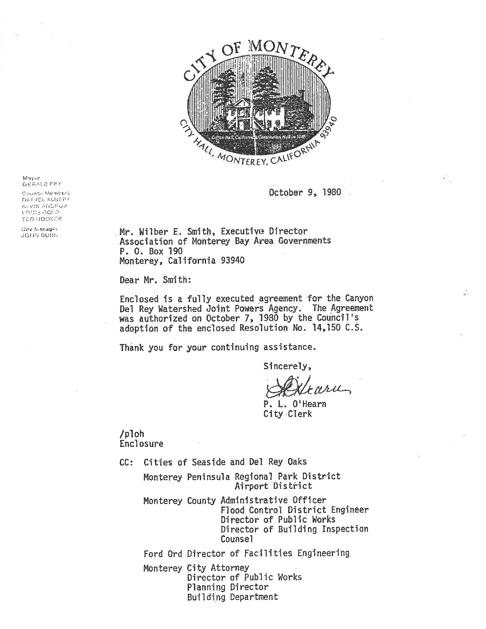

October 9, 1980

GERALD FRY Coundir Memberli DAH:EL ALBERT

Mayor

f-^.. '."^; i-'iiL.'i-'-K'. LOUIS GOLD TED: HOOKES

Cirv. Manager. **JOHN OURIN** 

Mr. Uilber E. Smith, Executive Director Association of Monterey Bay Area Governments P. 0. Box 190 Monterey, California 93940

Dear Mr. Smith:

Enclosed is a fully executed agreement for the Canyon Del Rey Watershed Joint Powers Agency. The Agreement was authorized on October 7, 1980 by the Council's adoption of the enclosed Resolution No. 14, 150 C. S.

Thank you for your continuing assistance.

Sincerely,

 $4\lambda$ 

P. L. O'Hearn City Clerk

/p1oh Enclosure

CC: Cities of Seaside and Del Rey Oaks

Monterey Peninsula Regional Park District Airport District

Monterey County Administrative Officer Flood Control District Engineer Director of Public Works Director of Building Inspection Counsel

Ford Ord Director of Facilities Engineering Monterey City Attorney Director of Public Works Planning Director Building Department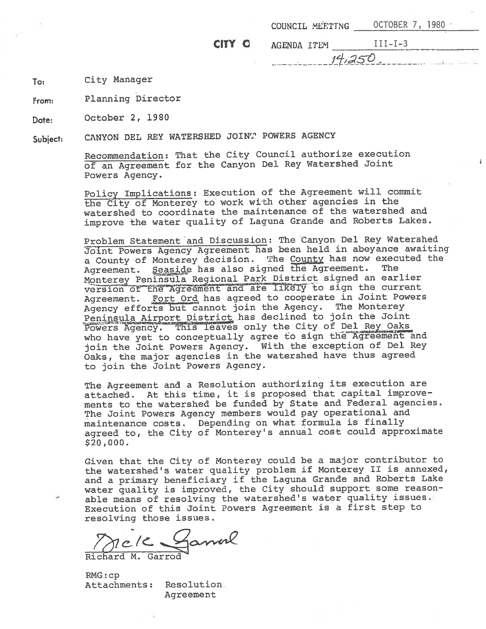|        |             | COUNCIL MEETING OCTOBER 7, 1980 |
|--------|-------------|---------------------------------|
| CITY O | AGENDA ITEM | $TI-I-3$                        |
|        | $14.250$ .  |                                 |

To: City Manager

From; Planning Director

Date: October 2, 1980

Subject: CANYON DEL REY WATERSHED JOIN" POWERS AGENCY

> Recommendation: That the City Council authorize execution of an Agreement for the Canyon Del Rey Watershed Joint Powers Agency.

Policy Implications: Execution of the Agreement will commit the City of Monterey to work with other agencies in the watershed to coordinate the maintenance of the watershed and improve the water quality of Laguna Grande and Roberts Lakes.

Problem Statement and Discussion: The Canyon Del Rey Watershed Joint Powers Agency Agreement-has been held in abeyance awaiting a County of Monterey decision. The County has now executed the leaside has also signed the Agreement. The Monterey Peninsula Regional Park District signed an earlier version of the Agreement and are likely to sign the current Agreement. Fort Ord has agreed to cooperate in Joint Powers Agency efforts but cannot join the Agency. The Monterey Peninsula Airport District has declined to join the Joint Powers Agency. This leaves only the City of Del Rey Oaks who have yet to conceptually agree to sign the Agreement and join the Joint Powers Agency. With the exception of Del Rey Oaks, the major agencies in the watershed have thus agreed to join the Joint Powers Agency.

The Agreement and a Resolution authorizing its execution are attached. At this time, it is proposed that capital improvements to the watershed be funded by State and Federal agencies. The Joint Powers Agency members would pay operational and maintenance costs. Depending on what formula is finally agreed to, the City of Monterey's annual cost could approximate \$20, 000.

Given that the City of Monterey could be a major contributor to Given that the City of Monterey could be a major contributor to<br>the watershed's water quality problem if Monterey II is annexed, the watershed's water quality problem if Monterey II is annexed<br>and a primary beneficiary if the Laguna Grande and Roberts Lake and a primary beneficiary if the Laguna Grande and Roberts Lake<br>water quality is improved, the City should support some reasonable means of resolving the watershed's water quality issues Execution of this Joint Powers Agreement is a first step to resolving those issues.

 $\gamma$ e/2

Richard M. Garrod

RMG:cp Attachments: Resolution Agreement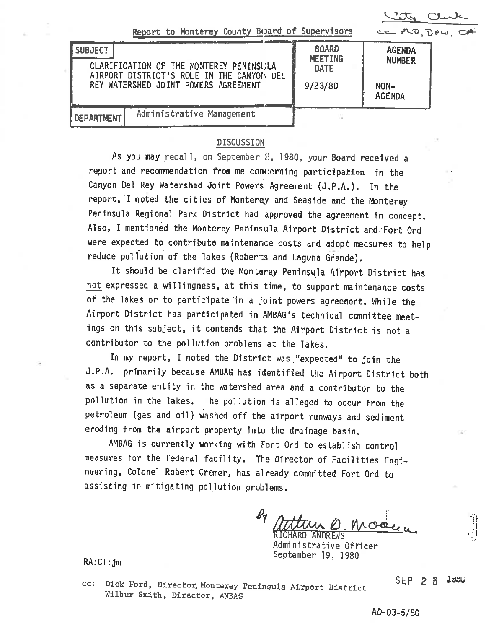City Club

| Report to Monterey County Board of Supervisors |  |  |  |  |  |  |  |
|------------------------------------------------|--|--|--|--|--|--|--|
|------------------------------------------------|--|--|--|--|--|--|--|

| Report to Monterey County Board of Supervisors                                                                                                 |                                                   | CEPLO, DPW, CA                                          |  |  |
|------------------------------------------------------------------------------------------------------------------------------------------------|---------------------------------------------------|---------------------------------------------------------|--|--|
| <b>SUBJECT</b><br>CLARIFICATION OF THE MONTEREY PENINSULA<br>AIRPORT DISTRICT'S ROLE IN THE CANYON DEL<br>REY WATERSHED JOINT POWERS AGREEMENT | <b>BOARD</b><br>MEETING<br><b>DATE</b><br>9/23/80 | <b>AGENDA</b><br><b>NUMBER</b><br>NON-<br><b>AGENDA</b> |  |  |
| Administrative Management<br>DEPARTMENT                                                                                                        |                                                   |                                                         |  |  |

#### DISCUSSION

As you may recall, on September 2, 1980, your Board received a report and recommendation from me concerning participation in the Canyon Del Rey Watershed Joint Powers Agreement (J. P.A. ). In the report, I noted the cities of Monterey and Seaside and the Monterey Peninsula Regional Park District had approved the agreement in concept. Also, I mentioned the Monterey Peninsula Airport District and Fort Ord were expected to contribute maintenance costs and adopt measures to help reduce pollution of the lakes (Roberts and Laguna Grande).

It should be clarified the Monterey Peninsula Airport District has not expressed a willingness, at this time, to support maintenance costs of the lakes or to participate in a joint powers agreement. While the Airport District has participated in AMBAG's technical committee meetings on this subject, it contends that the Airport District is not a contributor to the pollution problems at the lakes.

In my report, I noted the District was "expected" to join the J. P.A. primarily because AMBAG has identified the Airport District both as a separate entity in the watershed area and a contributor to the pollution in the lakes. The pollution 1s alleged to occur from the petroleum (gas and oil) washed off the airport runways and sediment eroding from the airport property into the drainage basin.

AMBAG is currently working with Fort Ord to establish control measures for the federal facility. The Director of Facilities Engineering, Colonel Robert Cremer, has already committed Fort Ord to assisting in mitigating pollution problems.

 $\boldsymbol{\rho}$ Millin D. Mose RICHARD ANDREWS (U

Administrative Officer September 19, 1980

RA:CT:jm

cc: Dick Ford, Director, Monterey Peninsula Airport District Wilbur Smith, Director, AMBAG

SEP 2 3 iaau

'ij

AD-03-5/80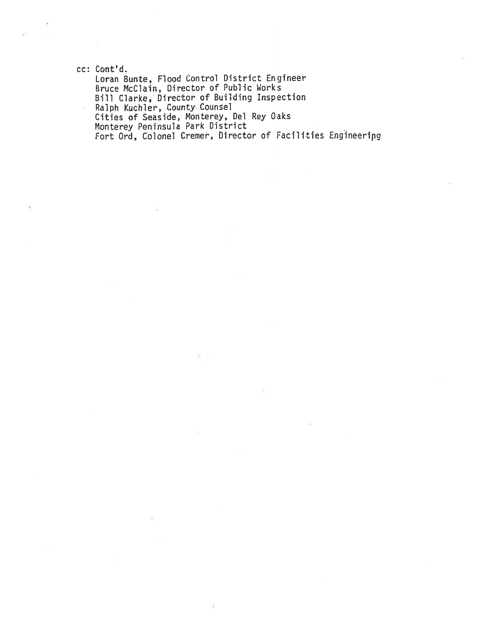ec: Cont'd. Loran Bunte, Flood Control District Engineer Bruce McClain, Director of Public Works Bill darke. Director of Building Inspection Ralph Kuchler, County Counsel ×. Cities of Seaside, Monterey, Del Rey Oaks Monterey Peninsula Park District Fort Ord, Colonel Cremer, Director of Facilities Engineenpg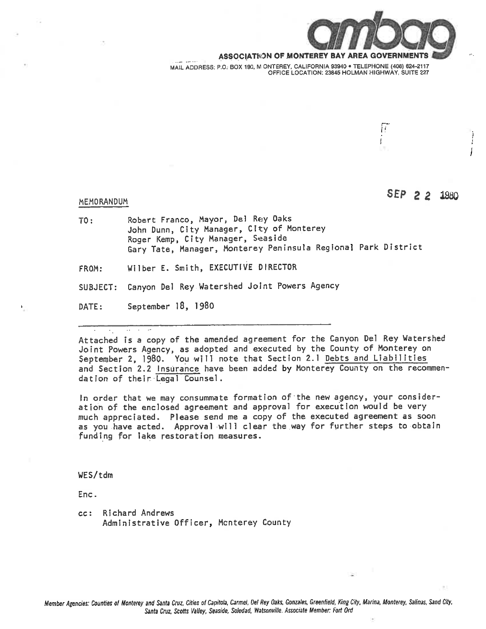

r-

ASSOCIATION OF MONTEREY BAY AREA

MAIL ADDRESS: P.O. BOX 190, M ONTEREY, CALIFORNIA 93940 . TELEPHONE (408) 624-2117 OFFICE LOCATION: 23845 HOLMAN HIGHWAY, SUITE 227

# MEMORANDUM SEP 2 2 1980

- TO: Robert Franco, Mayor, Del Rey Oaks John Dunn, City Manager, City of Honterey Roger Kemp, City Manager, Seaside Gary Tate, Manager, Monterey Peninsula Regional Park District
- FROM: Wither E. Smith, EXECUTIVE DIRECTOR
- SUBJECT: Canyon Del Rey Watershed Joint Powers Agency
- DATE: September 18, 1980

Attached is a copy of the amended agreement for the Canyon Del Key Watershed Joint Powers Agency, as adopted and executed by the County of Monterey on September 2, 1980. You will note that Section 2.1 Debts and Liabilities and Section 2.2 Insurance have been added by Monterey County on the recommendation of their Legal Counsel.

In order that we may consummate formation of the new agency, your consideration of the enclosed agreement and approval for execution would be very much appreciated. Please send me a copy of the executed agreement as soon as you have acted. Approval will clear the way for further steps to obtain funding for lake restoration measures.

WES/tdm

Enc.

ec: Richard Andrews Administrative Officer, Hcnterey County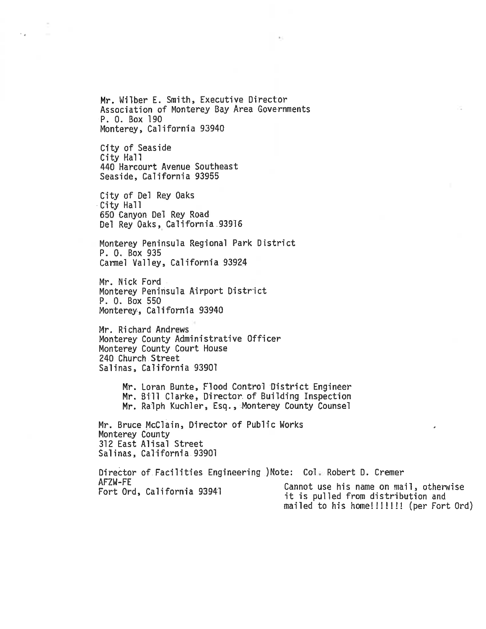Mr. Wilber E. Smith, Executive Director Association of Monterey Bay Area Governments P. 0. Box 190 Monterey, California 93940

City of Seaside City Hall 440 Harcourt Avenue Southeast Seaside, California 93955

 $\mathcal{L}_{\text{eff}}$  .

City of Del Rey Oaks City Ha11 650 Canyon Del Rey Road Del Rey Oaks, California 93916

Monterey Peninsula Regional Park District P. 0. Box 935 Cannel Valley, California 93924

Mr. Nick Ford Monterey Peninsula Airport District P. 0. Box 550 Monterey, California 93940

Mr. Richard Andrews Monterey County Admimstrative Officer Monterey County Court House 240 Church Street Salinas, California 93901

> Mr. Loran Bunte, Flood Control District Engineer Mr. Bill Clarke, Director of Building Inspection Mr. Ralph Kuchler, Esq., Monterey County Counsel

Mr. Bruce McClain, Director of Public Works Monterey County 312 East Alisal Street Salinas, California 93901

Director of Facilities Engineering )Note: Col Robert D. Cremer AFZW-FE Fort Ord, California 93941 Cannot use his name on mail, otherwise it is pulled from distribution and mailed to his home!!!!!!! (per Fort Ord)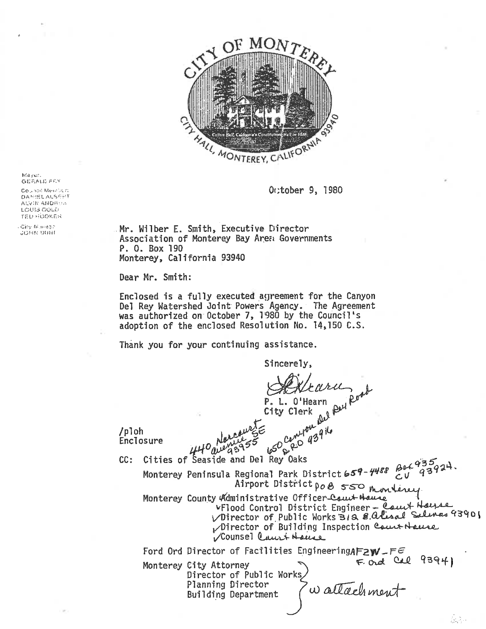

October 9, 1980

M<a;M.r.  $GEMALD' FFX$ 

 $Co<sub>2</sub>$  io: Mei. $c<sub>2</sub> < n$ . DAN:ELALSEPT AI...W ANDRESS LCUIS GOLD **red Hooker** 

City  $N$  .organ »o^it: usn-jf Mr. Milber E. Smith, Executive Director Association of Monterey Bay Areci Governments P. 0. Box 190 Monterey, California 93940

Dear Hr. Smith:

Enclosed is a fully executed agreement for the Canyon Del Rey Watershed Joint Powers Agency. The Agreement was authorized on October 7, 1980 by the Council's adoption of the enclosed Resolution No. 14,150 C.S.

Thank you for your continuing assistance.

Sincerely,

 $\alpha$ ru L. O'Hearn City Clerk P. L. O'Hearn<br>City Clerk<br>Lity Clerk<br>Little Clerk<br>Little and Del Pey Oaks

/pl oh Enclosure

CC: Cities of Seaside and Del Rey Oaks<br>Monterey Peninsula Regional Park District 659-4488  $\mathcal{E}^{\alpha}$ 139 Regional Park District 659-4488 Box<br>Airport District po B 550 montered Honter of County Airport District po 8 550 mondered

 $V$ Flood Control District Engineer  $\frac{2}{5}$   $\frac{2}{5}$ VDirector of Public Works 312 8. alised Selence 9390  $\nu$ Director of Building Inspection Court Hause j/Counsel ^iLu.\> tt-Atuji.

요즘~

Ford Ord Director of Facilities Engineering $\mathcal{A} \mathsf{F} \mathsf{2}\mathsf{W}\mathsf{-} \mathsf{F} \in$ Monterey City Attorney  $\begin{array}{ccc} \uparrow & \uparrow & \downarrow \\ \uparrow & \downarrow & \downarrow \end{array}$ Monterey City Attorney<br>Director of Public Works Planning Director Building Department  $F.$  and Cal 93941  $\omega$  attachment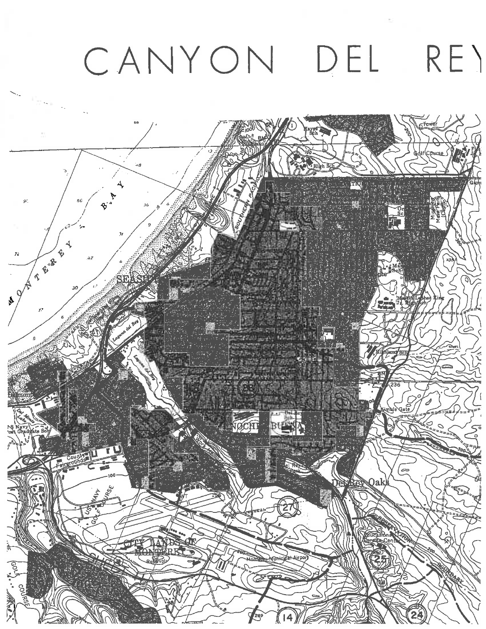# CANYON DEL RE^